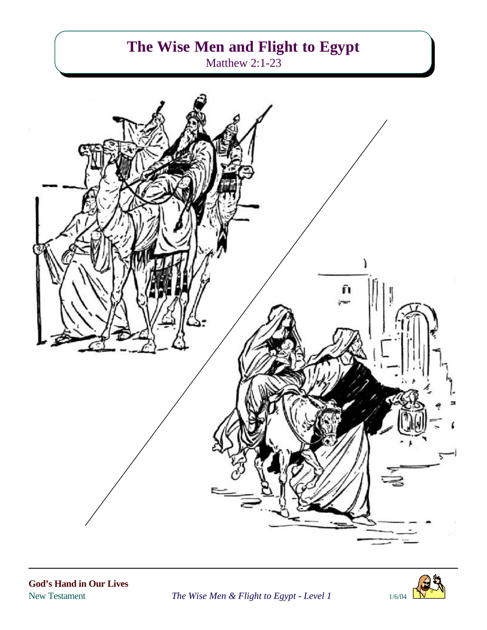# **The Wise Men and Flight to Egypt**

Matthew 2:1-23





New Testament *The Wise Men & Flight to Egypt - Level 1* 1/6/04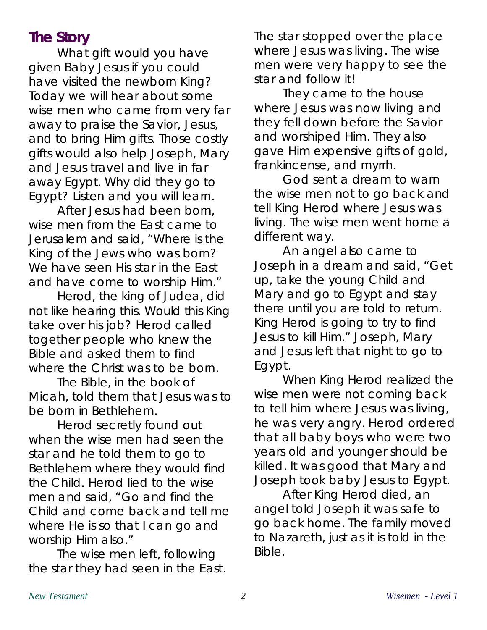## **The Story**

What gift would you have given Baby Jesus if you could have visited the newborn King? Today we will hear about some wise men who came from very far away to praise the Savior, Jesus, and to bring Him gifts. Those costly gifts would also help Joseph, Mary and Jesus travel and live in far away Egypt. Why did they go to Egypt? Listen and you will learn.

After Jesus had been born, wise men from the East came to Jerusalem and said, "Where is the King of the Jews who was born? We have seen His star in the East and have come to worship Him."

Herod, the king of Judea, did not like hearing this. Would this King take over his job? Herod called together people who knew the Bible and asked them to find where the Christ was to be born.

The Bible, in the book of Micah, told them that Jesus was to be born in Bethlehem.

Herod secretly found out when the wise men had seen the star and he told them to go to Bethlehem where they would find the Child. Herod lied to the wise men and said, "Go and find the Child and come back and tell me where He is so that I can go and worship Him also."

The wise men left, following the star they had seen in the East. The star stopped over the place where Jesus was living. The wise men were very happy to see the star and follow it!

They came to the house where Jesus was now living and they fell down before the Savior and worshiped Him. They also gave Him expensive gifts of gold, frankincense, and myrrh.

God sent a dream to warn the wise men not to go back and tell King Herod where Jesus was living. The wise men went home a different way.

An angel also came to Joseph in a dream and said, "Get up, take the young Child and Mary and go to Egypt and stay there until you are told to return. King Herod is going to try to find Jesus to kill Him." Joseph, Mary and Jesus left that night to go to Egypt.

When King Herod realized the wise men were not coming back to tell him where Jesus was living, he was very angry. Herod ordered that all baby boys who were two years old and younger should be killed. It was good that Mary and Joseph took baby Jesus to Egypt.

After King Herod died, an angel told Joseph it was safe to go back home. The family moved to Nazareth, just as it is told in the Bible.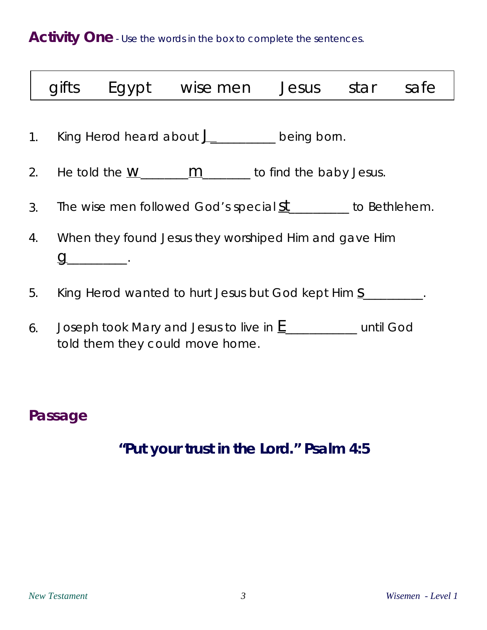Activity One - Use the words in the box to complete the sentences.

|    | gifts |                                                                | Egypt wise men                                        | Jesus | star | safe |  |
|----|-------|----------------------------------------------------------------|-------------------------------------------------------|-------|------|------|--|
|    |       |                                                                | 1. King Herod heard about J_________ being born.      |       |      |      |  |
|    | 2.    |                                                                | He told the $W_1$ $M_2$ $M_3$ to find the baby Jesus. |       |      |      |  |
|    | 3.    | The wise men followed God's special $st$ _______ to Bethlehem. |                                                       |       |      |      |  |
| 4. |       | When they found Jesus they worshiped Him and gave Him          |                                                       |       |      |      |  |
|    | 5.    |                                                                |                                                       |       |      |      |  |
|    |       | King Herod wanted to hurt Jesus but God kept Him S             |                                                       |       |      |      |  |
|    | 6.    | Joseph took Mary and Jesus to live in E<br>until God           |                                                       |       |      |      |  |

### 6. Joseph took Mary and Jesus to live in  $\underline{\mathsf{E}}$  \_\_\_\_\_\_\_\_\_\_\_\_ until God told them they could move home.

## **Passage**

# **"Put your trust in the Lord." Psalm 4:5**